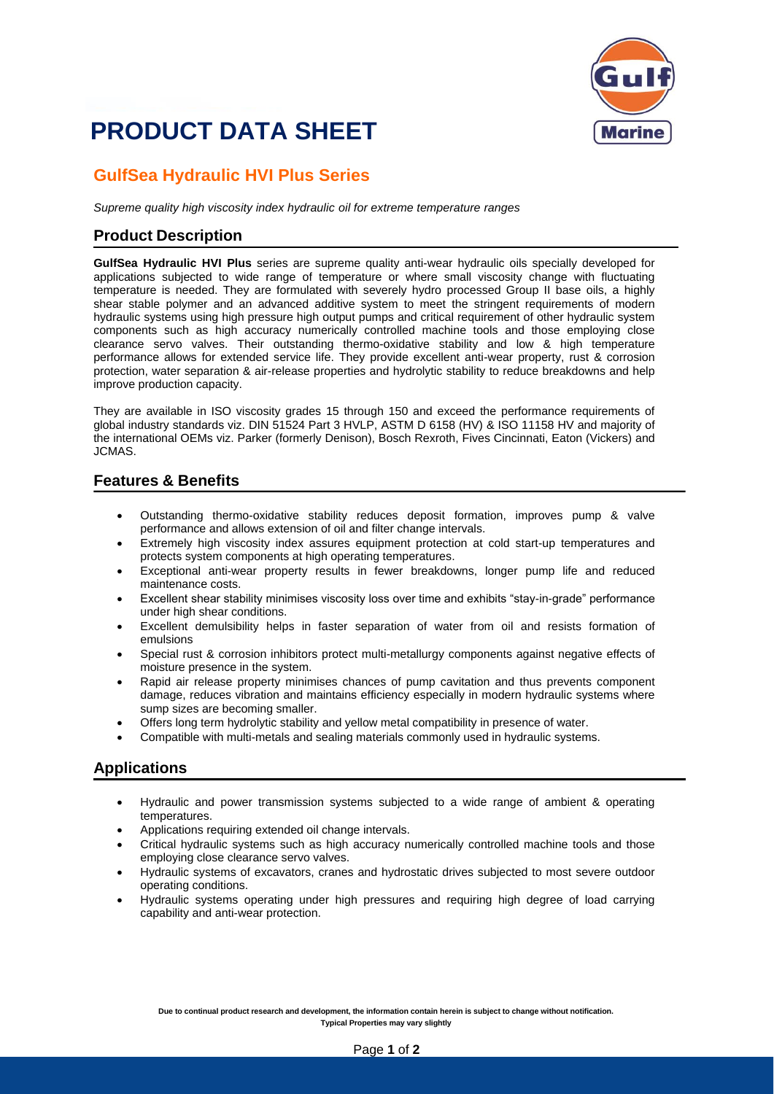# **PRODUCT DATA SHEET**



### **GulfSea Hydraulic HVI Plus Series**

*Supreme quality high viscosity index hydraulic oil for extreme temperature ranges*

#### **Product Description**

**GulfSea Hydraulic HVI Plus** series are supreme quality anti-wear hydraulic oils specially developed for applications subjected to wide range of temperature or where small viscosity change with fluctuating temperature is needed. They are formulated with severely hydro processed Group II base oils, a highly shear stable polymer and an advanced additive system to meet the stringent requirements of modern hydraulic systems using high pressure high output pumps and critical requirement of other hydraulic system components such as high accuracy numerically controlled machine tools and those employing close clearance servo valves. Their outstanding thermo-oxidative stability and low & high temperature performance allows for extended service life. They provide excellent anti-wear property, rust & corrosion protection, water separation & air-release properties and hydrolytic stability to reduce breakdowns and help improve production capacity.

They are available in ISO viscosity grades 15 through 150 and exceed the performance requirements of global industry standards viz. DIN 51524 Part 3 HVLP, ASTM D 6158 (HV) & ISO 11158 HV and majority of the international OEMs viz. Parker (formerly Denison), Bosch Rexroth, Fives Cincinnati, Eaton (Vickers) and JCMAS.

#### **Features & Benefits**

- Outstanding thermo-oxidative stability reduces deposit formation, improves pump & valve performance and allows extension of oil and filter change intervals.
- Extremely high viscosity index assures equipment protection at cold start-up temperatures and protects system components at high operating temperatures.
- Exceptional anti-wear property results in fewer breakdowns, longer pump life and reduced maintenance costs.
- Excellent shear stability minimises viscosity loss over time and exhibits "stay-in-grade" performance under high shear conditions.
- Excellent demulsibility helps in faster separation of water from oil and resists formation of emulsions
- Special rust & corrosion inhibitors protect multi-metallurgy components against negative effects of moisture presence in the system.
- Rapid air release property minimises chances of pump cavitation and thus prevents component damage, reduces vibration and maintains efficiency especially in modern hydraulic systems where sump sizes are becoming smaller.
- Offers long term hydrolytic stability and yellow metal compatibility in presence of water.
- Compatible with multi-metals and sealing materials commonly used in hydraulic systems.

#### **Applications**

- Hydraulic and power transmission systems subjected to a wide range of ambient & operating temperatures.
- Applications requiring extended oil change intervals.
- Critical hydraulic systems such as high accuracy numerically controlled machine tools and those employing close clearance servo valves.
- Hydraulic systems of excavators, cranes and hydrostatic drives subjected to most severe outdoor operating conditions.
- Hydraulic systems operating under high pressures and requiring high degree of load carrying capability and anti-wear protection.

**Due to continual product research and development, the information contain herein is subject to change without notification. Typical Properties may vary slightly**